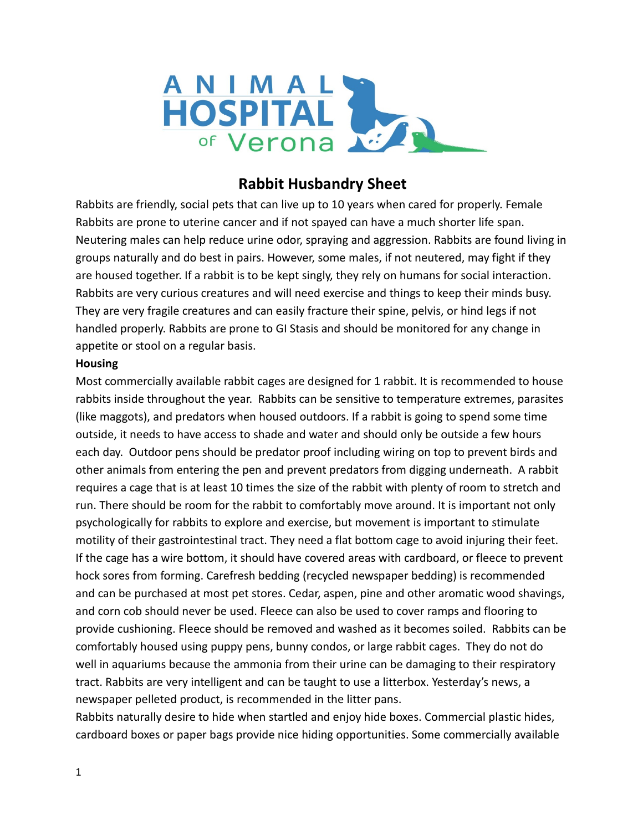

# **Rabbit Husbandry Sheet**

Rabbits are friendly, social pets that can live up to 10 years when cared for properly. Female Rabbits are prone to uterine cancer and if not spayed can have a much shorter life span. Neutering males can help reduce urine odor, spraying and aggression. Rabbits are found living in groups naturally and do best in pairs. However, some males, if not neutered, may fight if they are housed together. If a rabbit is to be kept singly, they rely on humans for social interaction. Rabbits are very curious creatures and will need exercise and things to keep their minds busy. They are very fragile creatures and can easily fracture their spine, pelvis, or hind legs if not handled properly. Rabbits are prone to GI Stasis and should be monitored for any change in appetite or stool on a regular basis.

#### **Housing**

Most commercially available rabbit cages are designed for 1 rabbit. It is recommended to house rabbits inside throughout the year. Rabbits can be sensitive to temperature extremes, parasites (like maggots), and predators when housed outdoors. If a rabbit is going to spend some time outside, it needs to have access to shade and water and should only be outside a few hours each day. Outdoor pens should be predator proof including wiring on top to prevent birds and other animals from entering the pen and prevent predators from digging underneath. A rabbit requires a cage that is at least 10 times the size of the rabbit with plenty of room to stretch and run. There should be room for the rabbit to comfortably move around. It is important not only psychologically for rabbits to explore and exercise, but movement is important to stimulate motility of their gastrointestinal tract. They need a flat bottom cage to avoid injuring their feet. If the cage has a wire bottom, it should have covered areas with cardboard, or fleece to prevent hock sores from forming. Carefresh bedding (recycled newspaper bedding) is recommended and can be purchased at most pet stores. Cedar, aspen, pine and other aromatic wood shavings, and corn cob should never be used. Fleece can also be used to cover ramps and flooring to provide cushioning. Fleece should be removed and washed as it becomes soiled. Rabbits can be comfortably housed using puppy pens, bunny condos, or large rabbit cages. They do not do well in aquariums because the ammonia from their urine can be damaging to their respiratory tract. Rabbits are very intelligent and can be taught to use a litterbox. Yesterday's news, a newspaper pelleted product, is recommended in the litter pans.

Rabbits naturally desire to hide when startled and enjoy hide boxes. Commercial plastic hides, cardboard boxes or paper bags provide nice hiding opportunities. Some commercially available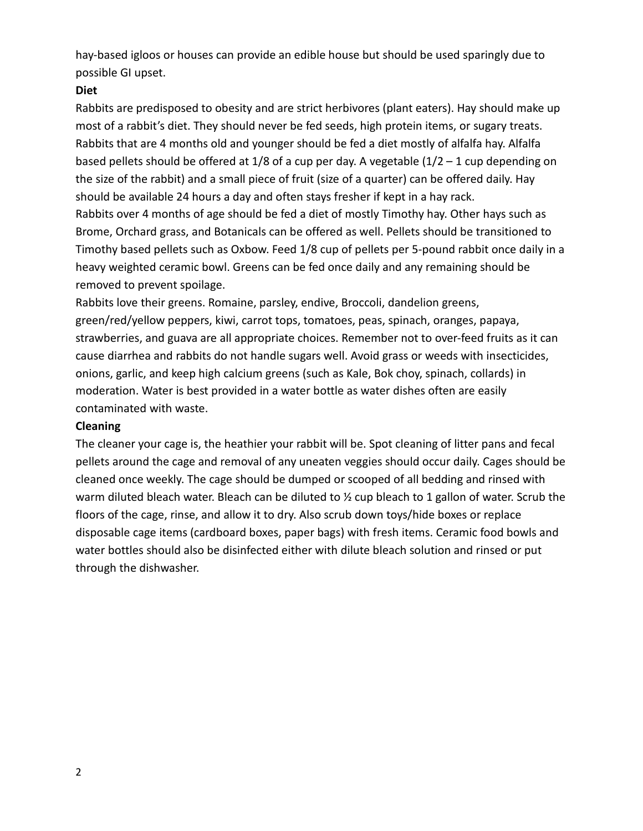hay-based igloos or houses can provide an edible house but should be used sparingly due to possible GI upset.

#### **Diet**

Rabbits are predisposed to obesity and are strict herbivores (plant eaters). Hay should make up most of a rabbit's diet. They should never be fed seeds, high protein items, or sugary treats. Rabbits that are 4 months old and younger should be fed a diet mostly of alfalfa hay. Alfalfa based pellets should be offered at  $1/8$  of a cup per day. A vegetable  $(1/2 - 1$  cup depending on the size of the rabbit) and a small piece of fruit (size of a quarter) can be offered daily. Hay should be available 24 hours a day and often stays fresher if kept in a hay rack. Rabbits over 4 months of age should be fed a diet of mostly Timothy hay. Other hays such as Brome, Orchard grass, and Botanicals can be offered as well. Pellets should be transitioned to Timothy based pellets such as Oxbow. Feed 1/8 cup of pellets per 5-pound rabbit once daily in a heavy weighted ceramic bowl. Greens can be fed once daily and any remaining should be removed to prevent spoilage.

Rabbits love their greens. Romaine, parsley, endive, Broccoli, dandelion greens, green/red/yellow peppers, kiwi, carrot tops, tomatoes, peas, spinach, oranges, papaya, strawberries, and guava are all appropriate choices. Remember not to over-feed fruits as it can cause diarrhea and rabbits do not handle sugars well. Avoid grass or weeds with insecticides, onions, garlic, and keep high calcium greens (such as Kale, Bok choy, spinach, collards) in moderation. Water is best provided in a water bottle as water dishes often are easily contaminated with waste.

### **Cleaning**

The cleaner your cage is, the heathier your rabbit will be. Spot cleaning of litter pans and fecal pellets around the cage and removal of any uneaten veggies should occur daily. Cages should be cleaned once weekly. The cage should be dumped or scooped of all bedding and rinsed with warm diluted bleach water. Bleach can be diluted to  $\frac{1}{2}$  cup bleach to 1 gallon of water. Scrub the floors of the cage, rinse, and allow it to dry. Also scrub down toys/hide boxes or replace disposable cage items (cardboard boxes, paper bags) with fresh items. Ceramic food bowls and water bottles should also be disinfected either with dilute bleach solution and rinsed or put through the dishwasher.